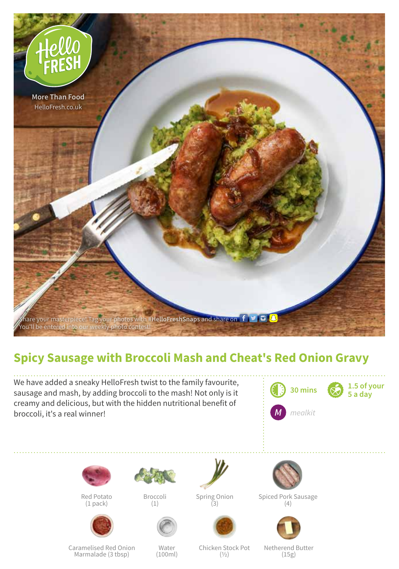

## **Spicy Sausage with Broccoli Mash and Cheat's Red Onion Gravy**

We have added a sneaky HelloFresh twist to the family favourite, sausage and mash, by adding broccoli to the mash! Not only is it creamy and delicious, but with the hidden nutritional benefit of broccoli, it's a real winner!





Red Potato (1 pack)



Broccoli (1)





Spiced Pork Sausage (4)



Caramelised Red Onion Marmalade (3 tbsp)

Water (100ml)

Chicken Stock Pot  $(1/2)$ 

Netherend Butter (15g)